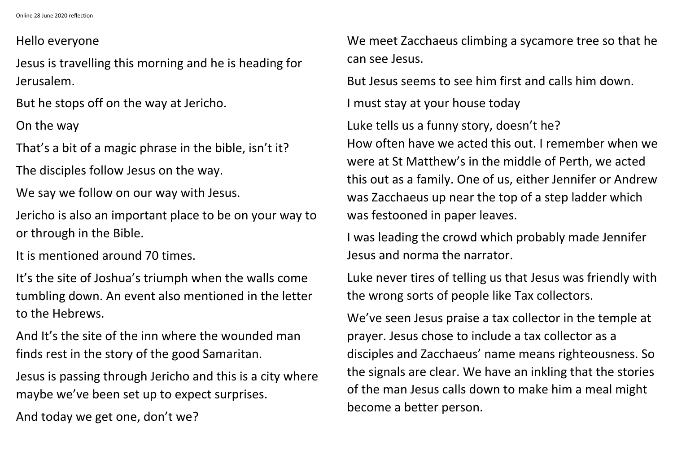Online 28 June 2020 reflection

## Hello everyone

Jesus is travelling this morning and he is heading for Jerusalem.

But he stops off on the way at Jericho.

On the way

That's a bit of a magic phrase in the bible, isn't it?

The disciples follow Jesus on the way.

We say we follow on our way with Jesus.

Jericho is also an important place to be on your way to or through in the Bible.

It is mentioned around 70 times.

It's the site of Joshua's triumph when the walls come tumbling down. An event also mentioned in the letter to the Hebrews.

And It's the site of the inn where the wounded man finds rest in the story of the good Samaritan.

Jesus is passing through Jericho and this is a city where maybe we've been set up to expect surprises.

And today we get one, don't we?

We meet Zacchaeus climbing a sycamore tree so that he can see Jesus.

But Jesus seems to see him first and calls him down.

I must stay at your house today

Luke tells us a funny story, doesn't he? How often have we acted this out. I remember when we were at St Matthew's in the middle of Perth, we acted this out as a family. One of us, either Jennifer or Andrew was Zacchaeus up near the top of a step ladder which was festooned in paper leaves.

I was leading the crowd which probably made Jennifer Jesus and norma the narrator.

Luke never tires of telling us that Jesus was friendly with the wrong sorts of people like Tax collectors.

We've seen Jesus praise a tax collector in the temple at prayer. Jesus chose to include a tax collector as a disciples and Zacchaeus' name means righteousness. So the signals are clear. We have an inkling that the stories of the man Jesus calls down to make him a meal might become a better person.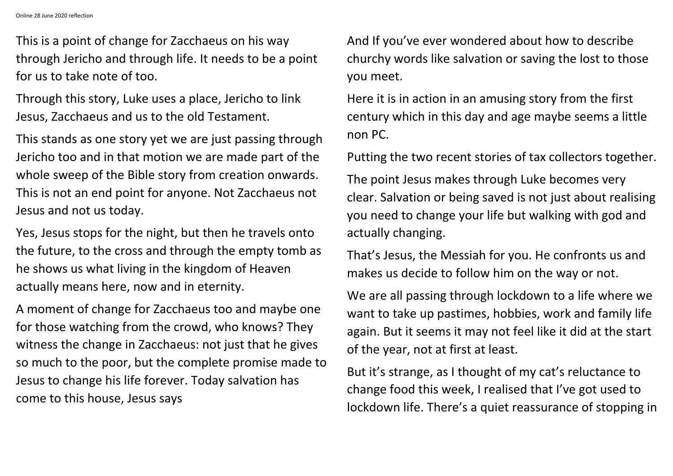This is a point of change for Zacchaeus on his way through Jericho and through life. It needs to be a point for us to take note of too.

Through this story, Luke uses a place, Jericho to link Jesus, Zacchaeus and us to the old Testament.

This stands as one story yet we are just passing through Jericho too and in that motion we are made part of the whole sweep of the Bible story from creation onwards. This is not an end point for anyone. Not Zacchaeus not Jesus and not us today.

Yes, Jesus stops for the night, but then he travels onto the future, to the cross and through the empty tomb as he shows us what living in the kingdom of Heaven actually means here, now and in eternity.

A moment of change for Zacchaeus too and maybe one for those watching from the crowd, who knows? They witness the change in Zacchaeus: not just that he gives so much to the poor, but the complete promise made to Jesus to change his life forever. Today salvation has come to this house, Jesus says

And If you've ever wondered about how to describe churchy words like salvation or saving the lost to those you meet.

Here it is in action in an amusing story from the first century which in this day and age maybe seems a little non PC.

Putting the two recent stories of tax collectors together. The point Jesus makes through Luke becomes very clear. Salvation or being saved is not just about realising you need to change your life but walking with god and actually changing.

That's Jesus, the Messiah for you. He confronts us and makes us decide to follow him on the way or not.

We are all passing through lockdown to a life where we want to take up pastimes, hobbies, work and family life again. But it seems it may not feel like it did at the start of the year, not at first at least.

But it's strange, as I thought of my cat's reluctance to change food this week, I realised that I've got used to lockdown life. There's a quiet reassurance of stopping in